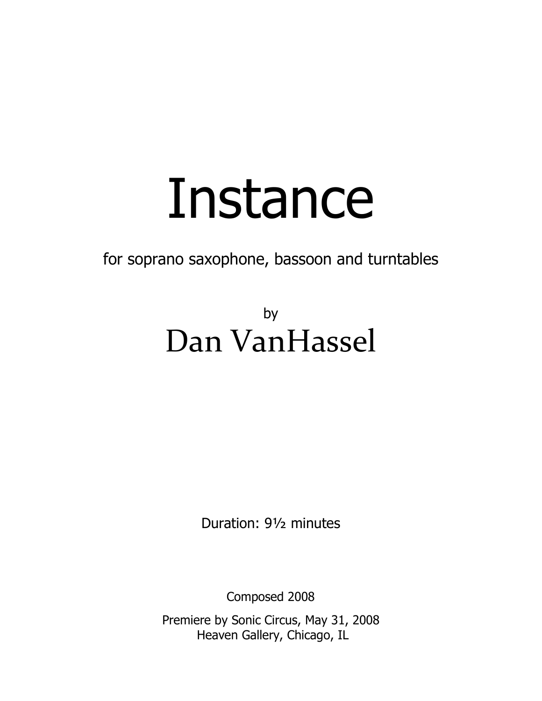# Instance

for soprano saxophone, bassoon and turntables

## by Dan VanHassel

Duration: 9½ minutes

Composed 2008

Premiere by Sonic Circus, May 31, 2008 Heaven Gallery, Chicago, IL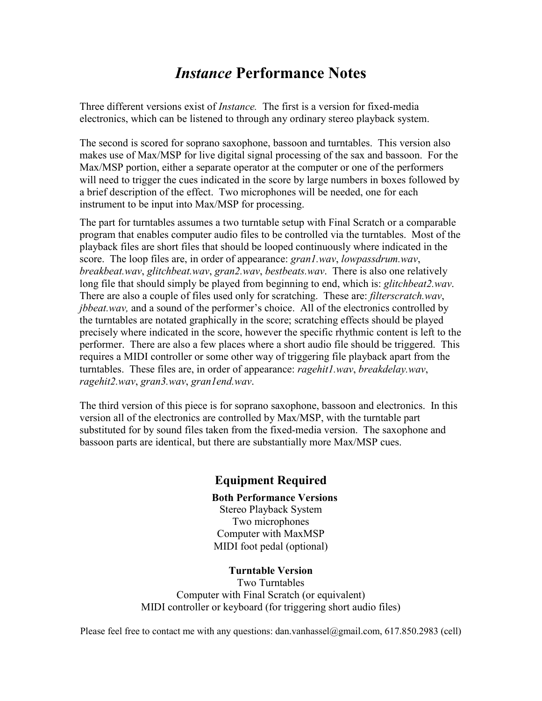### *Instance* **Performance Notes**

Three different versions exist of *Instance.* The first is a version for fixed-media electronics, which can be listened to through any ordinary stereo playback system.

The second is scored for soprano saxophone, bassoon and turntables. This version also makes use of Max/MSP for live digital signal processing of the sax and bassoon. For the Max/MSP portion, either a separate operator at the computer or one of the performers will need to trigger the cues indicated in the score by large numbers in boxes followed by a brief description of the effect. Two microphones will be needed, one for each instrument to be input into Max/MSP for processing.

The part for turntables assumes a two turntable setup with Final Scratch or a comparable program that enables computer audio files to be controlled via the turntables. Most of the playback files are short files that should be looped continuously where indicated in the score. The loop files are, in order of appearance: *gran1.wav*, *lowpassdrum.wav*, *breakbeat.wav*, *glitchbeat.wav*, *gran2.wav*, *bestbeats.wav*. There is also one relatively long file that should simply be played from beginning to end, which is: *glitchbeat2.wav*. There are also a couple of files used only for scratching. These are: *filterscratch.wav*, *jbbeat.wav,* and a sound of the performer's choice. All of the electronics controlled by the turntables are notated graphically in the score; scratching effects should be played precisely where indicated in the score, however the specific rhythmic content is left to the performer. There are also a few places where a short audio file should be triggered. This requires a MIDI controller or some other way of triggering file playback apart from the turntables. These files are, in order of appearance: *ragehit1.wav*, *breakdelay.wav*, *ragehit2.wav*, *gran3.wav*, *gran1end.wav*.

The third version of this piece is for soprano saxophone, bassoon and electronics. In this version all of the electronics are controlled by Max/MSP, with the turntable part substituted for by sound files taken from the fixed-media version. The saxophone and bassoon parts are identical, but there are substantially more Max/MSP cues.

#### **Equipment Required**

#### **Both Performance Versions**

Stereo Playback System Two microphones Computer with MaxMSP MIDI foot pedal (optional)

#### **Turntable Version**

Two Turntables Computer with Final Scratch (or equivalent) MIDI controller or keyboard (for triggering short audio files)

Please feel free to contact me with any questions: dan.vanhassel@gmail.com, 617.850.2983 (cell)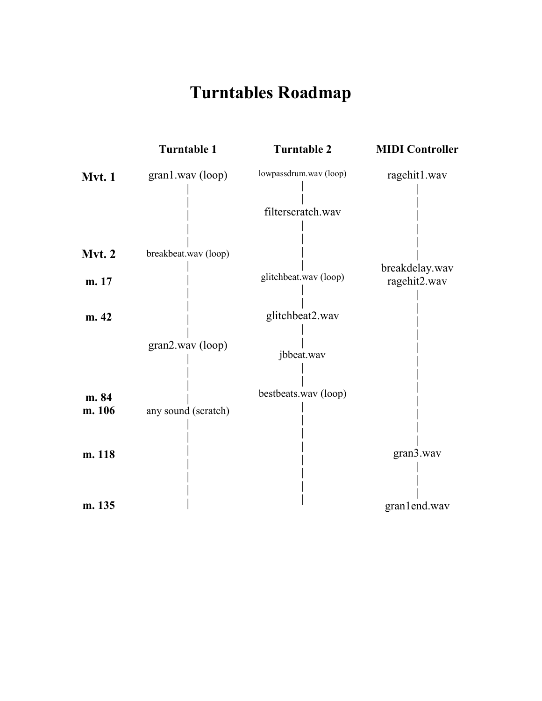### **Turntables Roadmap**

|                 | <b>Turntable 1</b>   | <b>Turntable 2</b>     | <b>MIDI</b> Controller |
|-----------------|----------------------|------------------------|------------------------|
| Mvt. 1          | gran1.wav (loop)     | lowpassdrum.wav (loop) | ragehit1.wav           |
|                 |                      | filterscratch.wav      |                        |
| Mvt. 2          | breakbeat.wav (loop) |                        | breakdelay.wav         |
| m. 17           |                      | glitchbeat.wav (loop)  | ragehit2.wav           |
| m. 42           |                      | glitchbeat2.wav        |                        |
|                 | gran2.wav (loop)     | jbbeat.wav             |                        |
| m. 84<br>m. 106 | any sound (scratch)  | bestbeats.wav (loop)   |                        |
| m. 118          |                      |                        | gran3.wav              |
| m. 135          |                      |                        | gran1end.wav           |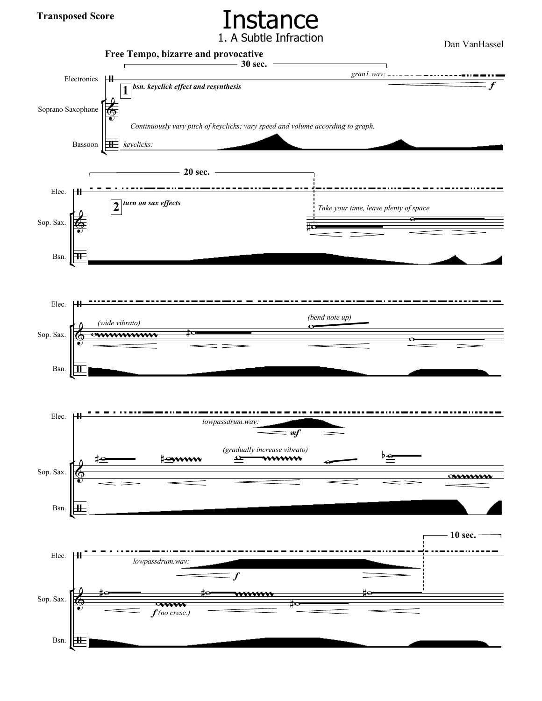#### **Transposed Score**

# Instance

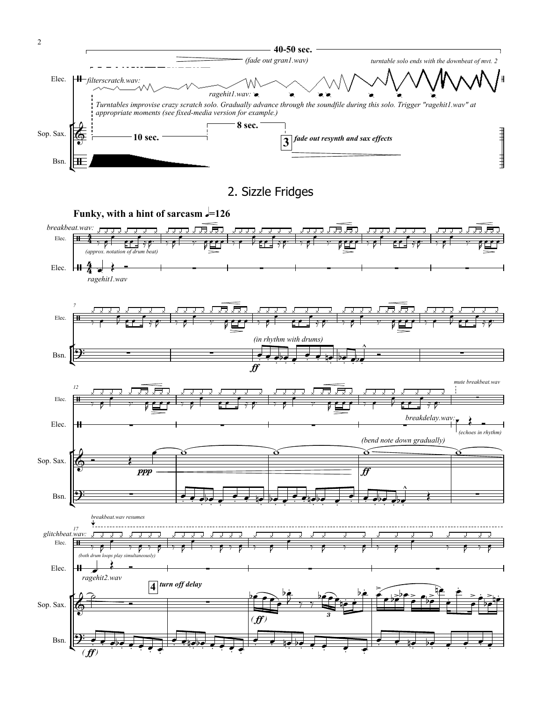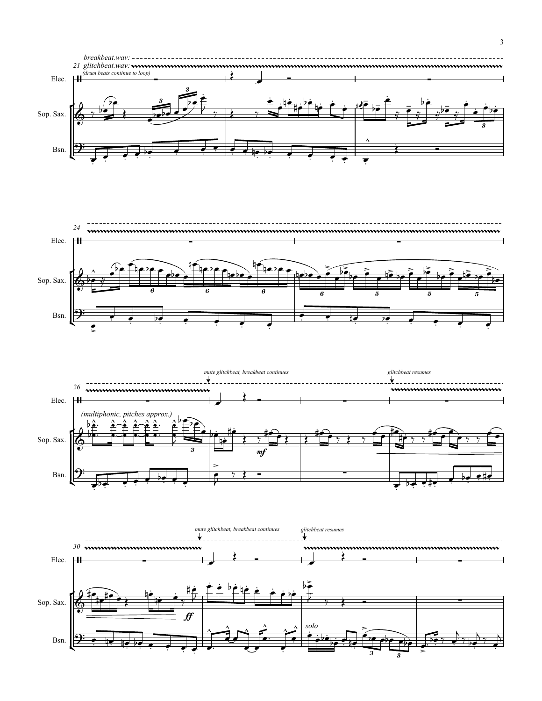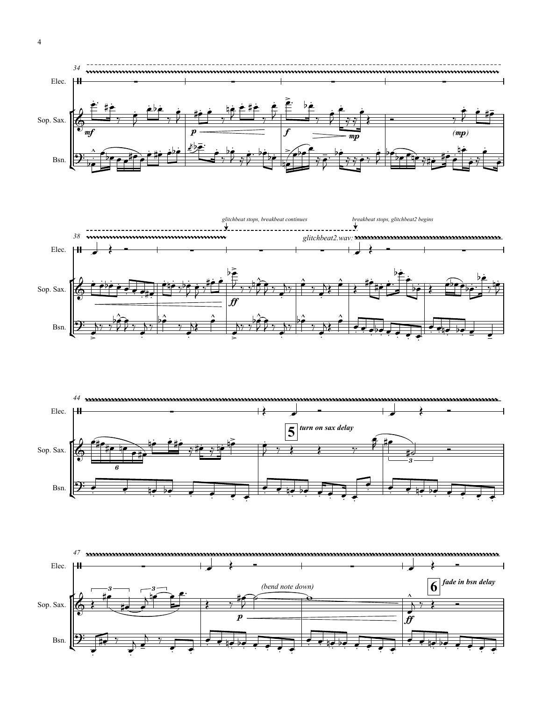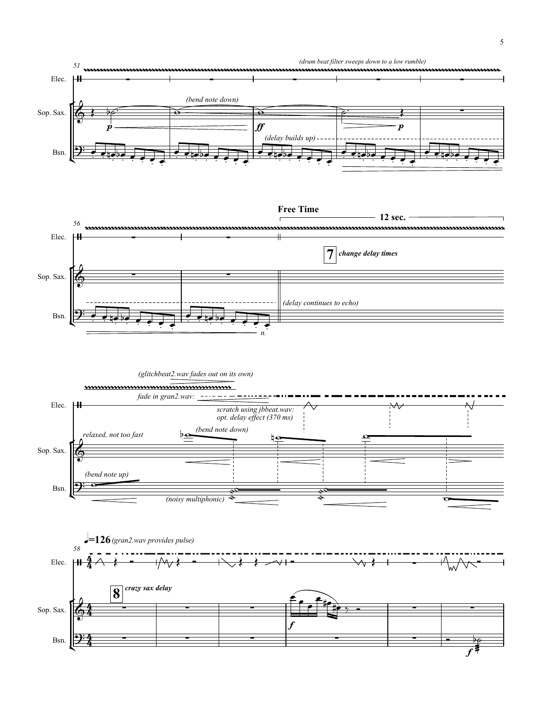



*(glitchbeat2.wav fades out on its own)*

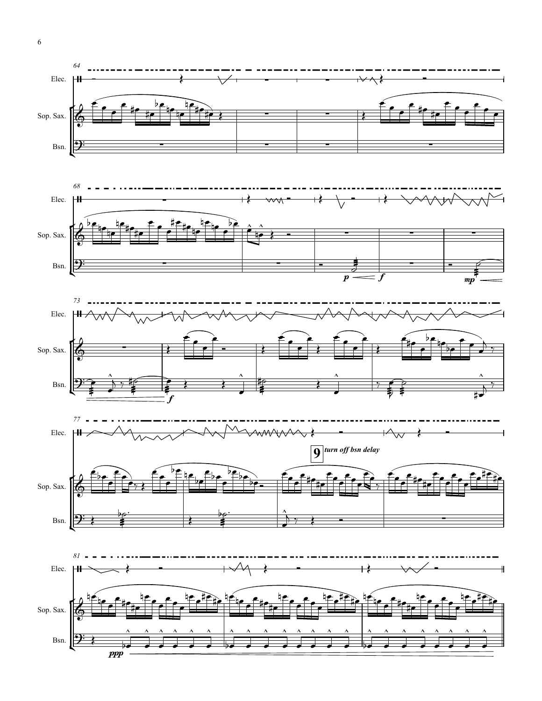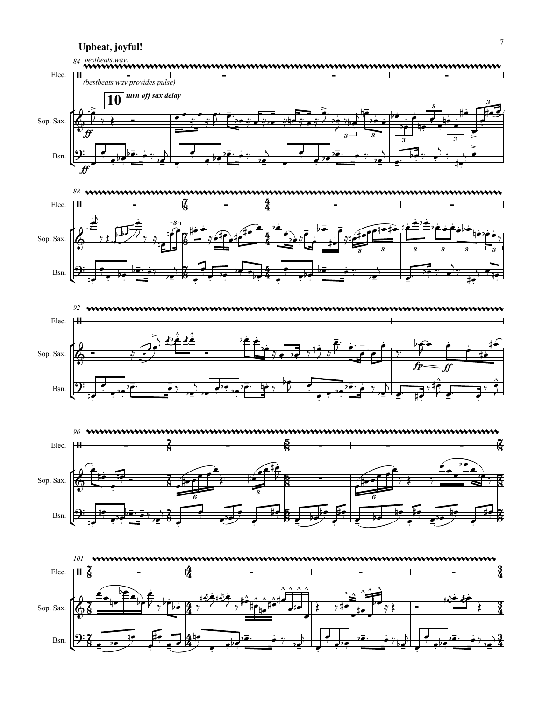